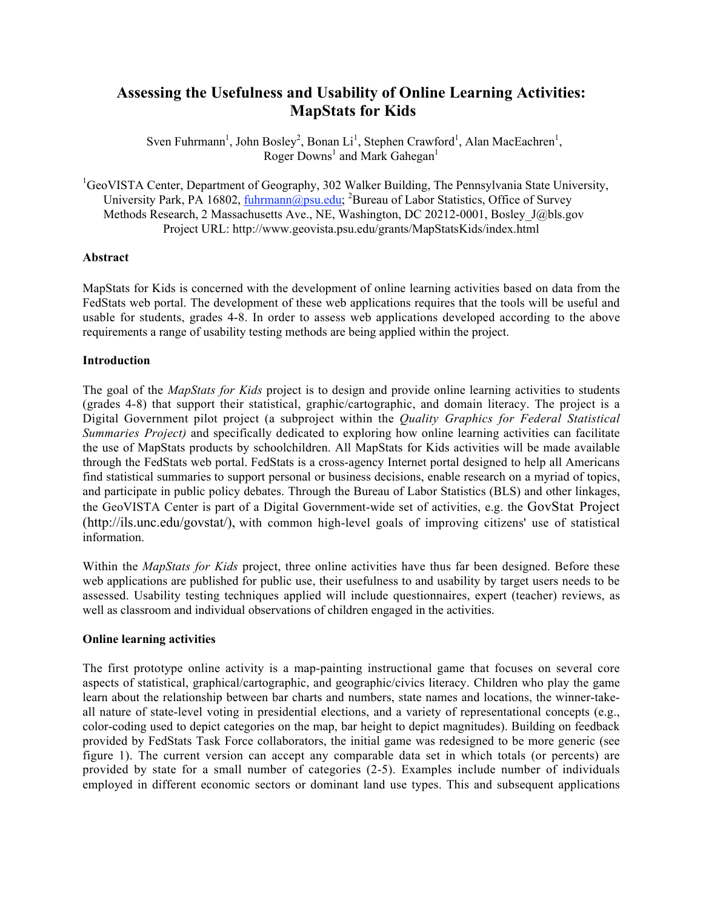# **Assessing the Usefulness and Usability of Online Learning Activities: MapStats for Kids**

Sven Fuhrmann<sup>1</sup>, John Bosley<sup>2</sup>, Bonan Li<sup>1</sup>, Stephen Crawford<sup>1</sup>, Alan MacEachren<sup>1</sup>, Roger Downs<sup>1</sup> and Mark Gahegan<sup>1</sup>

<sup>1</sup>GeoVISTA Center, Department of Geography, 302 Walker Building, The Pennsylvania State University, University Park, PA 16802, *fuhrmann@psu.edu;* <sup>2</sup>Bureau of Labor Statistics, Office of Survey Methods Research, 2 Massachusetts Ave., NE, Washington, DC 20212-0001, Bosley J@bls.gov Project URL: http://www.geovista.psu.edu/grants/MapStatsKids/index.html

# **Abstract**

MapStats for Kids is concerned with the development of online learning activities based on data from the FedStats web portal. The development of these web applications requires that the tools will be useful and usable for students, grades 4-8. In order to assess web applications developed according to the above requirements a range of usability testing methods are being applied within the project.

# **Introduction**

The goal of the *MapStats for Kids* project is to design and provide online learning activities to students (grades 4-8) that support their statistical, graphic/cartographic, and domain literacy. The project is a Digital Government pilot project (a subproject within the *Quality Graphics for Federal Statistical Summaries Project*) and specifically dedicated to exploring how online learning activities can facilitate the use of MapStats products by schoolchildren. All MapStats for Kids activities will be made available through the FedStats web portal. FedStats is a cross-agency Internet portal designed to help all Americans find statistical summaries to support personal or business decisions, enable research on a myriad of topics, and participate in public policy debates. Through the Bureau of Labor Statistics (BLS) and other linkages, the GeoVISTA Center is part of a Digital Government-wide set of activities, e.g. the GovStat Project (http://ils.unc.edu/govstat/), with common high-level goals of improving citizens' use of statistical information.

Within the *MapStats for Kids* project, three online activities have thus far been designed. Before these web applications are published for public use, their usefulness to and usability by target users needs to be assessed. Usability testing techniques applied will include questionnaires, expert (teacher) reviews, as well as classroom and individual observations of children engaged in the activities.

## **Online learning activities**

The first prototype online activity is a map-painting instructional game that focuses on several core aspects of statistical, graphical/cartographic, and geographic/civics literacy. Children who play the game learn about the relationship between bar charts and numbers, state names and locations, the winner-takeall nature of state-level voting in presidential elections, and a variety of representational concepts (e.g., color-coding used to depict categories on the map, bar height to depict magnitudes). Building on feedback provided by FedStats Task Force collaborators, the initial game was redesigned to be more generic (see figure 1). The current version can accept any comparable data set in which totals (or percents) are provided by state for a small number of categories (2-5). Examples include number of individuals employed in different economic sectors or dominant land use types. This and subsequent applications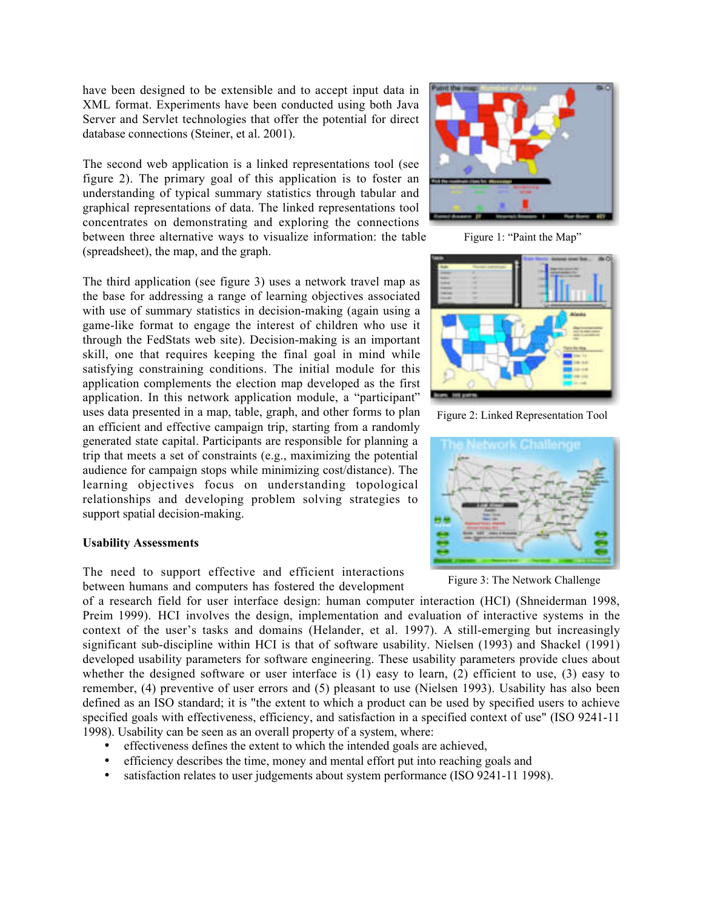have been designed to be extensible and to accept input data in XML format. Experiments have been conducted using both Java Server and Servlet technologies that offer the potential for direct database connections (Steiner, et al. 2001).

The second web application is a linked representations tool (see figure 2). The primary goal of this application is to foster an understanding of typical summary statistics through tabular and graphical representations of data. The linked representations tool concentrates on demonstrating and exploring the connections between three alternative ways to visualize information: the table (spreadsheet), the map, and the graph.

The third application (see figure 3) uses a network travel map as the base for addressing a range of learning objectives associated with use of summary statistics in decision-making (again using a game-like format to engage the interest of children who use it through the FedStats web site). Decision-making is an important skill, one that requires keeping the final goal in mind while satisfying constraining conditions. The initial module for this application complements the election map developed as the first application. In this network application module, a "participant" uses data presented in a map, table, graph, and other forms to plan an efficient and effective campaign trip, starting from a randomly generated state capital. Participants are responsible for planning a trip that meets a set of constraints (e.g., maximizing the potential audience for campaign stops while minimizing cost/distance). The learning objectives focus on understanding topological relationships and developing problem solving strategies to support spatial decision-making.

#### **Usability Assessments**

The need to support effective and efficient interactions between humans and computers has fostered the development



Figure 1: "Paint the Map"



Figure 2: Linked Representation Tool



Figure 3: The Network Challenge

of a research field for user interface design: human computer interaction (HCI) (Shneiderman 1998, Preim 1999). HCI involves the design, implementation and evaluation of interactive systems in the context of the user's tasks and domains (Helander, et al. 1997). A still-emerging but increasingly significant sub-discipline within HCI is that of software usability. Nielsen (1993) and Shackel (1991) developed usability parameters for software engineering. These usability parameters provide clues about whether the designed software or user interface is (1) easy to learn, (2) efficient to use, (3) easy to remember, (4) preventive of user errors and (5) pleasant to use (Nielsen 1993). Usability has also been defined as an ISO standard; it is "the extent to which a product can be used by specified users to achieve specified goals with effectiveness, efficiency, and satisfaction in a specified context of use" (ISO 9241-11) 1998). Usability can be seen as an overall property of a system, where:

- effectiveness defines the extent to which the intended goals are achieved,
- efficiency describes the time, money and mental effort put into reaching goals and
- satisfaction relates to user judgements about system performance (ISO 9241-11 1998).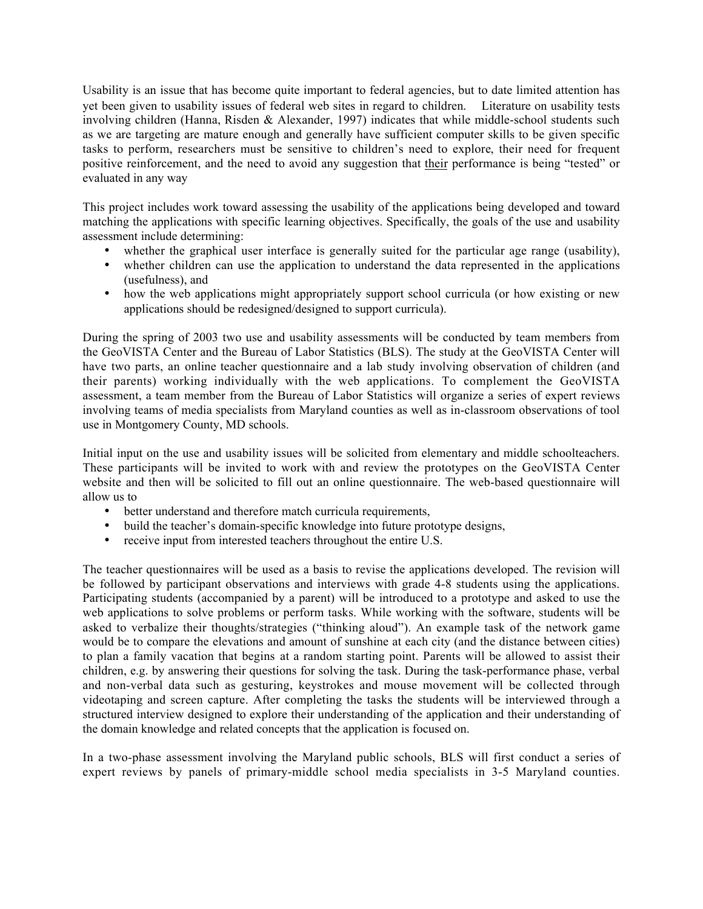Usability is an issue that has become quite important to federal agencies, but to date limited attention has yet been given to usability issues of federal web sites in regard to children. Literature on usability tests involving children (Hanna, Risden & Alexander, 1997) indicates that while middle-school students such as we are targeting are mature enough and generally have sufficient computer skills to be given specific tasks to perform, researchers must be sensitive to children's need to explore, their need for frequent positive reinforcement, and the need to avoid any suggestion that their performance is being "tested" or evaluated in any way

This project includes work toward assessing the usability of the applications being developed and toward matching the applications with specific learning objectives. Specifically, the goals of the use and usability assessment include determining:

- whether the graphical user interface is generally suited for the particular age range (usability),
- whether children can use the application to understand the data represented in the applications (usefulness), and
- how the web applications might appropriately support school curricula (or how existing or new applications should be redesigned/designed to support curricula).

During the spring of 2003 two use and usability assessments will be conducted by team members from the GeoVISTA Center and the Bureau of Labor Statistics (BLS). The study at the GeoVISTA Center will have two parts, an online teacher questionnaire and a lab study involving observation of children (and their parents) working individually with the web applications. To complement the GeoVISTA assessment, a team member from the Bureau of Labor Statistics will organize a series of expert reviews involving teams of media specialists from Maryland counties as well as in-classroom observations of tool use in Montgomery County, MD schools.

Initial input on the use and usability issues will be solicited from elementary and middle schoolteachers. These participants will be invited to work with and review the prototypes on the GeoVISTA Center website and then will be solicited to fill out an online questionnaire. The web-based questionnaire will allow us to

- better understand and therefore match curricula requirements,
- build the teacher's domain-specific knowledge into future prototype designs,
- receive input from interested teachers throughout the entire U.S.

The teacher questionnaires will be used as a basis to revise the applications developed. The revision will be followed by participant observations and interviews with grade 4-8 students using the applications. Participating students (accompanied by a parent) will be introduced to a prototype and asked to use the web applications to solve problems or perform tasks. While working with the software, students will be asked to verbalize their thoughts/strategies ("thinking aloud"). An example task of the network game would be to compare the elevations and amount of sunshine at each city (and the distance between cities) to plan a family vacation that begins at a random starting point. Parents will be allowed to assist their children, e.g. by answering their questions for solving the task. During the task-performance phase, verbal and non-verbal data such as gesturing, keystrokes and mouse movement will be collected through videotaping and screen capture. After completing the tasks the students will be interviewed through a structured interview designed to explore their understanding of the application and their understanding of the domain knowledge and related concepts that the application is focused on.

In a two-phase assessment involving the Maryland public schools, BLS will first conduct a series of expert reviews by panels of primary-middle school media specialists in 3-5 Maryland counties.